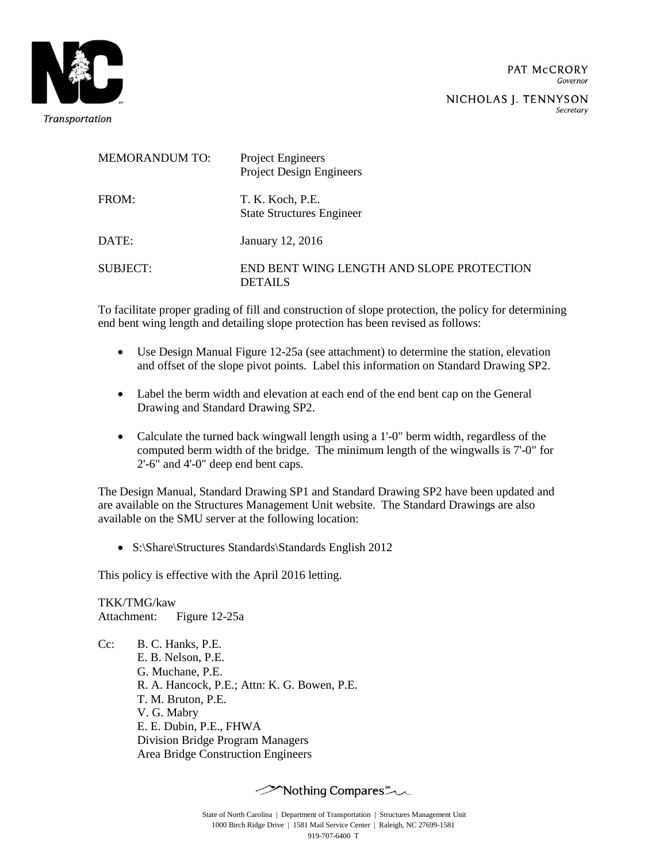

Secretary

| <b>MEMORANDUM TO:</b> | Project Engineers<br><b>Project Design Engineers</b>        |
|-----------------------|-------------------------------------------------------------|
| FROM:                 | T. K. Koch, P.E.<br><b>State Structures Engineer</b>        |
| DATE:                 | January 12, 2016                                            |
| SUBJECT:              | END BENT WING LENGTH AND SLOPE PROTECTION<br><b>DETAILS</b> |

To facilitate proper grading of fill and construction of slope protection, the policy for determining end bent wing length and detailing slope protection has been revised as follows:

- Use Design Manual Figure 12-25a (see attachment) to determine the station, elevation and offset of the slope pivot points. Label this information on Standard Drawing SP2.
- Label the berm width and elevation at each end of the end bent cap on the General Drawing and Standard Drawing SP2.
- Calculate the turned back wingwall length using a 1'-0" berm width, regardless of the computed berm width of the bridge. The minimum length of the wingwalls is 7'-0" for 2'-6" and 4'-0" deep end bent caps.

The Design Manual, Standard Drawing SP1 and Standard Drawing SP2 have been updated and are available on the Structures Management Unit website. The Standard Drawings are also available on the SMU server at the following location:

• S:\Share\Structures Standards\Standards English 2012

This policy is effective with the April 2016 letting.

TKK/TMG/kaw Attachment: Figure 12-25a

Cc: B. C. Hanks, P.E. E. B. Nelson, P.E. G. Muchane, P.E. R. A. Hancock, P.E.; Attn: K. G. Bowen, P.E. T. M. Bruton, P.E. V. G. Mabry E. E. Dubin, P.E., FHWA Division Bridge Program Managers Area Bridge Construction Engineers